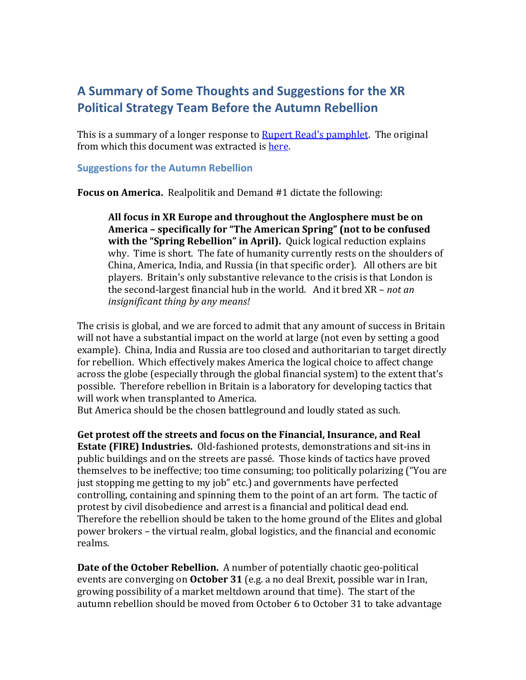## **A Summary of Some Thoughts and Suggestions for the XR Political Strategy Team Before the Autumn Rebellion**

This is a summary of a longer response to [Rupert Read's pamphlet.](http://rupertread.fastmail.co.uk/XR%20pamphlet%20%20%20%20%20%20Truth%20and%20its%20consequences.pdf) The original from which this document was extracted is [here.](http://sirius.institute/Autumn_Rebellion.pdf)

## **Suggestions for the Autumn Rebellion**

**Focus on America.** Realpolitik and Demand #1 dictate the following:

**All focus in XR Europe and throughout the Anglosphere must be on America – specifically for "The American Spring" (not to be confused with the "Spring Rebellion" in April).** Quick logical reduction explains why. Time is short. The fate of humanity currently rests on the shoulders of China, America, India, and Russia (in that specific order). All others are bit players. Britain's only substantive relevance to the crisis is that London is the second-largest financial hub in the world. And it bred XR – *not an insignificant thing by any means!*

The crisis is global, and we are forced to admit that any amount of success in Britain will not have a substantial impact on the world at large (not even by setting a good example). China, India and Russia are too closed and authoritarian to target directly for rebellion. Which effectively makes America the logical choice to affect change across the globe (especially through the global financial system) to the extent that's possible. Therefore rebellion in Britain is a laboratory for developing tactics that will work when transplanted to America.

But America should be the chosen battleground and loudly stated as such.

**Get protest off the streets and focus on the Financial, Insurance, and Real Estate (FIRE) Industries.** Old-fashioned protests, demonstrations and sit-ins in public buildings and on the streets are passé. Those kinds of tactics have proved themselves to be ineffective; too time consuming; too politically polarizing ("You are just stopping me getting to my job" etc.) and governments have perfected controlling, containing and spinning them to the point of an art form. The tactic of protest by civil disobedience and arrest is a financial and political dead end. Therefore the rebellion should be taken to the home ground of the Elites and global power brokers – the virtual realm, global logistics, and the financial and economic realms.

**Date of the October Rebellion.** A number of potentially chaotic geo-political events are converging on **October 31** (e.g. a no deal Brexit, possible war in Iran, growing possibility of a market meltdown around that time).The start of the autumn rebellion should be moved from October 6 to October 31 to take advantage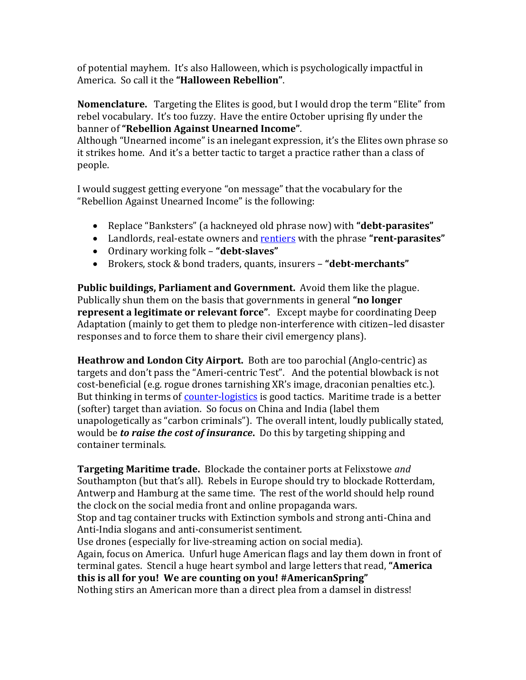of potential mayhem. It's also Halloween, which is psychologically impactful in America. So call it the **"Halloween Rebellion"**.

**Nomenclature.** Targeting the Elites is good, but I would drop the term "Elite" from rebel vocabulary. It's too fuzzy. Have the entire October uprising fly under the banner of **"Rebellion Against Unearned Income"**.

Although "Unearned income" is an inelegant expression, it's the Elites own phrase so it strikes home. And it's a better tactic to target a practice rather than a class of people.

I would suggest getting everyone "on message" that the vocabulary for the "Rebellion Against Unearned Income" is the following:

- Replace "Banksters" (a hackneyed old phrase now) with **"debt-parasites"**
- Landlords, real-estate owners and [rentiers](https://en.wikipedia.org/wiki/Rentier_capitalism) with the phrase **"rent-parasites"**
- Ordinary working folk **"debt-slaves"**
- Brokers, stock & bond traders, quants, insurers **"debt-merchants"**

**Public buildings, Parliament and Government.** Avoid them like the plague. Publically shun them on the basis that governments in general **"no longer represent a legitimate or relevant force"**. Except maybe for coordinating Deep Adaptation (mainly to get them to pledge non-interference with citizen–led disaster responses and to force them to share their civil emergency plans).

**Heathrow and London City Airport.** Both are too parochial (Anglo-centric) as targets and don't pass the "Ameri-centric Test". And the potential blowback is not cost-beneficial (e.g. rogue drones tarnishing XR's image, draconian penalties etc.). But thinking in terms of [counter-logistics](https://thedisorderofthings.com/author/charmchua/) is good tactics. Maritime trade is a better (softer) target than aviation. So focus on China and India (label them unapologetically as "carbon criminals"). The overall intent, loudly publically stated, would be *to raise the cost of insurance***.** Do this by targeting shipping and container terminals.

**Targeting Maritime trade.** Blockade the container ports at Felixstowe *and* Southampton (but that's all). Rebels in Europe should try to blockade Rotterdam, Antwerp and Hamburg at the same time. The rest of the world should help round the clock on the social media front and online propaganda wars.

Stop and tag container trucks with Extinction symbols and strong anti-China and Anti-India slogans and anti-consumerist sentiment.

Use drones (especially for live-streaming action on social media). Again, focus on America. Unfurl huge American flags and lay them down in front of terminal gates. Stencil a huge heart symbol and large letters that read, **"America this is all for you! We are counting on you! #AmericanSpring"**

Nothing stirs an American more than a direct plea from a damsel in distress!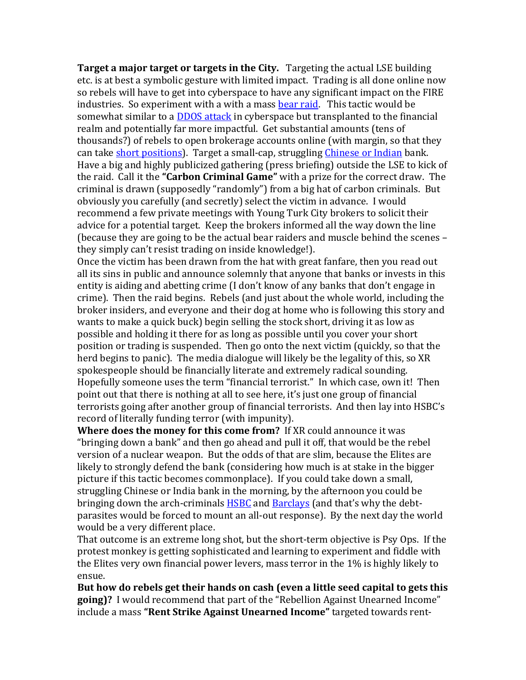**Target a major target or targets in the City.** Targeting the actual LSE building etc. is at best a symbolic gesture with limited impact. Trading is all done online now so rebels will have to get into cyberspace to have any significant impact on the FIRE industries. So experiment with a with a mass [bear raid.](https://en.wikipedia.org/wiki/Bear_raid) This tactic would be somewhat similar to a **DDOS** attack in cyberspace but transplanted to the financial realm and potentially far more impactful. Get substantial amounts (tens of thousands?) of rebels to open brokerage accounts online (with margin, so that they can take [short positions\)](https://www.investopedia.com/terms/s/shortselling.asp). Target a small-cap, struggling [Chinese or Indian](https://en.wikipedia.org/wiki/List_of_banks_in_the_United_Kingdom) bank. Have a big and highly publicized gathering (press briefing) outside the LSE to kick of the raid. Call it the **"Carbon Criminal Game"** with a prize for the correct draw. The criminal is drawn (supposedly "randomly") from a big hat of carbon criminals. But obviously you carefully (and secretly) select the victim in advance. I would recommend a few private meetings with Young Turk City brokers to solicit their advice for a potential target. Keep the brokers informed all the way down the line (because they are going to be the actual bear raiders and muscle behind the scenes – they simply can't resist trading on inside knowledge!).

Once the victim has been drawn from the hat with great fanfare, then you read out all its sins in public and announce solemnly that anyone that banks or invests in this entity is aiding and abetting crime (I don't know of any banks that don't engage in crime). Then the raid begins. Rebels (and just about the whole world, including the broker insiders, and everyone and their dog at home who is following this story and wants to make a quick buck) begin selling the stock short, driving it as low as possible and holding it there for as long as possible until you cover your short position or trading is suspended. Then go onto the next victim (quickly, so that the herd begins to panic). The media dialogue will likely be the legality of this, so XR spokespeople should be financially literate and extremely radical sounding. Hopefully someone uses the term "financial terrorist." In which case, own it! Then point out that there is nothing at all to see here, it's just one group of financial terrorists going after another group of financial terrorists. And then lay into HSBC's record of literally funding terror (with impunity).

**Where does the money for this come from?** If XR could announce it was "bringing down a bank" and then go ahead and pull it off, that would be the rebel version of a nuclear weapon. But the odds of that are slim, because the Elites are likely to strongly defend the bank (considering how much is at stake in the bigger picture if this tactic becomes commonplace). If you could take down a small, struggling Chinese or India bank in the morning, by the afternoon you could be bringing down the arch-criminals **HSBC** and **Barclays** (and that's why the debtparasites would be forced to mount an all-out response). By the next day the world would be a very different place.

That outcome is an extreme long shot, but the short-term objective is Psy Ops. If the protest monkey is getting sophisticated and learning to experiment and fiddle with the Elites very own financial power levers, mass terror in the 1% is highly likely to ensue.

**But how do rebels get their hands on cash (even a little seed capital to gets this going)?** I would recommend that part of the "Rebellion Against Unearned Income" include a mass **"Rent Strike Against Unearned Income"** targeted towards rent